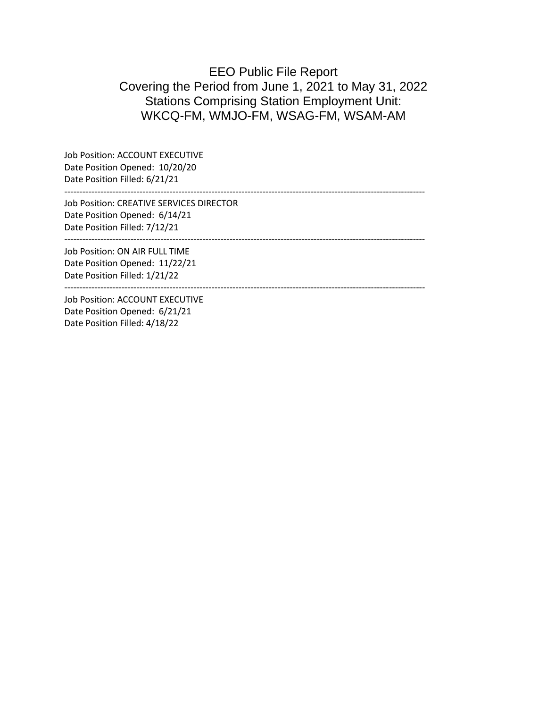# EEO Public File Report Covering the Period from June 1, 2021 to May 31, 2022 Stations Comprising Station Employment Unit: WKCQ-FM, WMJO-FM, WSAG-FM, WSAM-AM

------------------------------------------------------------------------------------------------------------------------

Job Position: ACCOUNT EXECUTIVE Date Position Opened: 10/20/20 Date Position Filled: 6/21/21

Job Position: CREATIVE SERVICES DIRECTOR Date Position Opened: 6/14/21 Date Position Filled: 7/12/21

Job Position: ON AIR FULL TIME Date Position Opened: 11/22/21 Date Position Filled: 1/21/22

------------------------------------------------------------------------------------------------------------------------

------------------------------------------------------------------------------------------------------------------------

Job Position: ACCOUNT EXECUTIVE Date Position Opened: 6/21/21 Date Position Filled: 4/18/22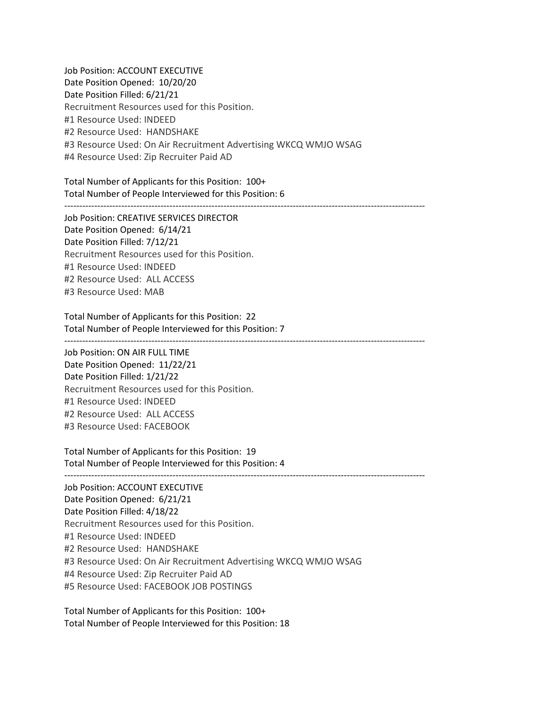Job Position: ACCOUNT EXECUTIVE Date Position Opened: 10/20/20 Date Position Filled: 6/21/21 Recruitment Resources used for this Position. #1 Resource Used: INDEED #2 Resource Used: HANDSHAKE #3 Resource Used: On Air Recruitment Advertising WKCQ WMJO WSAG #4 Resource Used: Zip Recruiter Paid AD

Total Number of Applicants for this Position: 100+ Total Number of People Interviewed for this Position: 6

------------------------------------------------------------------------------------------------------------------------

Job Position: CREATIVE SERVICES DIRECTOR Date Position Opened: 6/14/21 Date Position Filled: 7/12/21 Recruitment Resources used for this Position. #1 Resource Used: INDEED #2 Resource Used: ALL ACCESS #3 Resource Used: MAB

Total Number of Applicants for this Position: 22 Total Number of People Interviewed for this Position: 7

Job Position: ON AIR FULL TIME Date Position Opened: 11/22/21 Date Position Filled: 1/21/22 Recruitment Resources used for this Position. #1 Resource Used: INDEED #2 Resource Used: ALL ACCESS #3 Resource Used: FACEBOOK

Total Number of Applicants for this Position: 19 Total Number of People Interviewed for this Position: 4

------------------------------------------------------------------------------------------------------------------------

------------------------------------------------------------------------------------------------------------------------

Job Position: ACCOUNT EXECUTIVE Date Position Opened: 6/21/21 Date Position Filled: 4/18/22 Recruitment Resources used for this Position. #1 Resource Used: INDEED #2 Resource Used: HANDSHAKE #3 Resource Used: On Air Recruitment Advertising WKCQ WMJO WSAG #4 Resource Used: Zip Recruiter Paid AD #5 Resource Used: FACEBOOK JOB POSTINGS

Total Number of Applicants for this Position: 100+ Total Number of People Interviewed for this Position: 18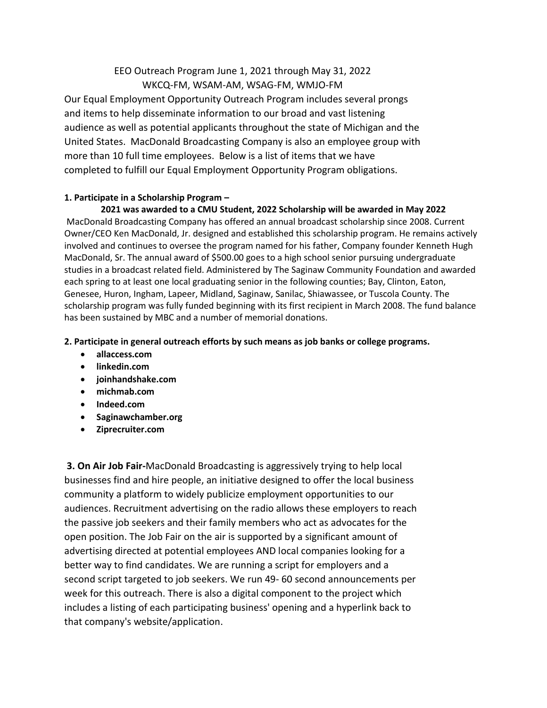## EEO Outreach Program June 1, 2021 through May 31, 2022 WKCQ-FM, WSAM-AM, WSAG-FM, WMJO-FM

Our Equal Employment Opportunity Outreach Program includes several prongs and items to help disseminate information to our broad and vast listening audience as well as potential applicants throughout the state of Michigan and the United States. MacDonald Broadcasting Company is also an employee group with more than 10 full time employees. Below is a list of items that we have completed to fulfill our Equal Employment Opportunity Program obligations.

### **1. Participate in a Scholarship Program –**

### **2021 was awarded to a CMU Student, 2022 Scholarship will be awarded in May 2022**

MacDonald Broadcasting Company has offered an annual broadcast scholarship since 2008. Current Owner/CEO Ken MacDonald, Jr. designed and established this scholarship program. He remains actively involved and continues to oversee the program named for his father, Company founder Kenneth Hugh MacDonald, Sr. The annual award of \$500.00 goes to a high school senior pursuing undergraduate studies in a broadcast related field. Administered by The Saginaw Community Foundation and awarded each spring to at least one local graduating senior in the following counties; Bay, Clinton, Eaton, Genesee, Huron, Ingham, Lapeer, Midland, Saginaw, Sanilac, Shiawassee, or Tuscola County. The scholarship program was fully funded beginning with its first recipient in March 2008. The fund balance has been sustained by MBC and a number of memorial donations.

#### **2. Participate in general outreach efforts by such means as job banks or college programs.**

- **allaccess.com**
- **linkedin.com**
- **joinhandshake.com**
- **michmab.com**
- **Indeed.com**
- **Saginawchamber.org**
- **Ziprecruiter.com**

**3. On Air Job Fair-**MacDonald Broadcasting is aggressively trying to help local businesses find and hire people, an initiative designed to offer the local business community a platform to widely publicize employment opportunities to our audiences. Recruitment advertising on the radio allows these employers to reach the passive job seekers and their family members who act as advocates for the open position. The Job Fair on the air is supported by a significant amount of advertising directed at potential employees AND local companies looking for a better way to find candidates. We are running a script for employers and a second script targeted to job seekers. We run 49- 60 second announcements per week for this outreach. There is also a digital component to the project which includes a listing of each participating business' opening and a hyperlink back to that company's website/application.